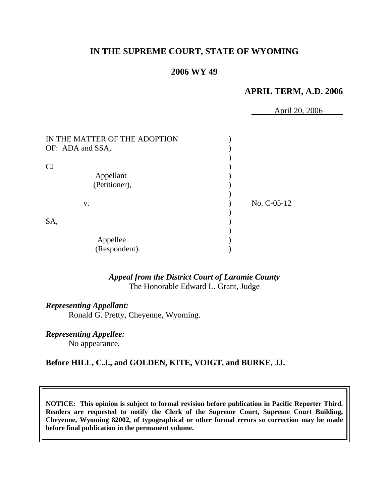# **IN THE SUPREME COURT, STATE OF WYOMING**

## **2006 WY 49**

# **APRIL TERM, A.D. 2006**

April 20, 2006

| No. C-05-12 |
|-------------|
|             |
|             |
|             |
|             |
|             |
|             |

# *Appeal from the District Court of Laramie County* The Honorable Edward L. Grant, Judge

#### *Representing Appellant:*

Ronald G. Pretty, Cheyenne, Wyoming.

*Representing Appellee:*

No appearance*.*

#### **Before HILL, C.J., and GOLDEN, KITE, VOIGT, and BURKE, JJ.**

**NOTICE: This opinion is subject to formal revision before publication in Pacific Reporter Third. Readers are requested to notify the Clerk of the Supreme Court, Supreme Court Building, Cheyenne, Wyoming 82002, of typographical or other formal errors so correction may be made before final publication in the permanent volume.**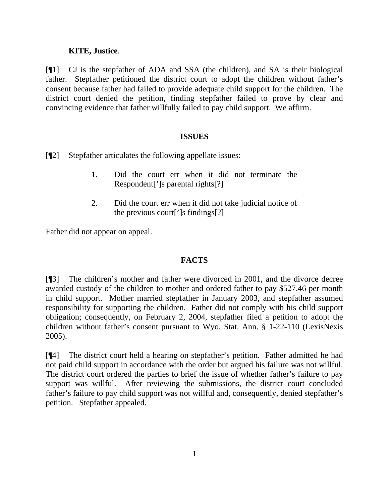## **KITE, Justice**.

[¶1] CJ is the stepfather of ADA and SSA (the children), and SA is their biological father. Stepfather petitioned the district court to adopt the children without father's consent because father had failed to provide adequate child support for the children. The district court denied the petition, finding stepfather failed to prove by clear and convincing evidence that father willfully failed to pay child support. We affirm.

## **ISSUES**

[¶2] Stepfather articulates the following appellate issues:

- 1. Did the court err when it did not terminate the Respondent[']s parental rights[?]
- 2. Did the court err when it did not take judicial notice of the previous court[']s findings[?]

Father did not appear on appeal.

# **FACTS**

[¶3] The children's mother and father were divorced in 2001, and the divorce decree awarded custody of the children to mother and ordered father to pay \$527.46 per month in child support. Mother married stepfather in January 2003, and stepfather assumed responsibility for supporting the children. Father did not comply with his child support obligation; consequently, on February 2, 2004, stepfather filed a petition to adopt the children without father's consent pursuant to Wyo. Stat. Ann. § 1-22-110 (LexisNexis 2005).

[¶4] The district court held a hearing on stepfather's petition. Father admitted he had not paid child support in accordance with the order but argued his failure was not willful. The district court ordered the parties to brief the issue of whether father's failure to pay support was willful. After reviewing the submissions, the district court concluded father's failure to pay child support was not willful and, consequently, denied stepfather's petition. Stepfather appealed.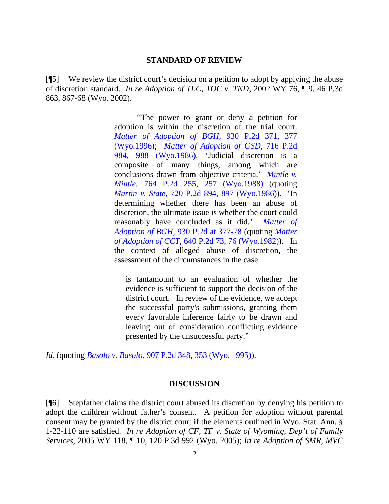#### **STANDARD OF REVIEW**

[¶5] We review the district court's decision on a petition to adopt by applying the abuse of discretion standard. *In re Adoption of TLC, TOC v. TND,* 2002 WY 76, ¶ 9, 46 P.3d 863, 867-68 (Wyo. 2002).

> "The power to grant or deny a petition for adoption is within the discretion of the trial court. *[Matter of Adoption of BGH,](http://www.westlaw.com/Find/Default.wl?rs=dfa1.0&vr=2.0&DB=661&FindType=Y&ReferencePositionType=S&SerialNum=1996279721&ReferencePosition=377)* [930 P.2d 371, 377](http://www.westlaw.com/Find/Default.wl?rs=dfa1.0&vr=2.0&DB=661&FindType=Y&ReferencePositionType=S&SerialNum=1996279721&ReferencePosition=377) [\(Wyo.1996\)](http://www.westlaw.com/Find/Default.wl?rs=dfa1.0&vr=2.0&DB=661&FindType=Y&ReferencePositionType=S&SerialNum=1996279721&ReferencePosition=377); *[Matter of Adoption of GSD,](http://www.westlaw.com/Find/Default.wl?rs=dfa1.0&vr=2.0&DB=661&FindType=Y&ReferencePositionType=S&SerialNum=1986117561&ReferencePosition=988)* [716 P.2d](http://www.westlaw.com/Find/Default.wl?rs=dfa1.0&vr=2.0&DB=661&FindType=Y&ReferencePositionType=S&SerialNum=1986117561&ReferencePosition=988)  [984, 988 \(Wyo.1986\)](http://www.westlaw.com/Find/Default.wl?rs=dfa1.0&vr=2.0&DB=661&FindType=Y&ReferencePositionType=S&SerialNum=1986117561&ReferencePosition=988). 'Judicial discretion is a composite of many things, among which are conclusions drawn from objective criteria.' *[Mintle v.](http://www.westlaw.com/Find/Default.wl?rs=dfa1.0&vr=2.0&DB=661&FindType=Y&ReferencePositionType=S&SerialNum=1988145399&ReferencePosition=257)  [Mintle,](http://www.westlaw.com/Find/Default.wl?rs=dfa1.0&vr=2.0&DB=661&FindType=Y&ReferencePositionType=S&SerialNum=1988145399&ReferencePosition=257)* [764 P.2d 255, 257 \(Wyo.1988\)](http://www.westlaw.com/Find/Default.wl?rs=dfa1.0&vr=2.0&DB=661&FindType=Y&ReferencePositionType=S&SerialNum=1988145399&ReferencePosition=257) (quoting *[Martin v. State,](http://www.westlaw.com/Find/Default.wl?rs=dfa1.0&vr=2.0&DB=661&FindType=Y&ReferencePositionType=S&SerialNum=1986131950&ReferencePosition=897)* [720 P.2d 894, 897 \(Wyo.1986\)\)](http://www.westlaw.com/Find/Default.wl?rs=dfa1.0&vr=2.0&DB=661&FindType=Y&ReferencePositionType=S&SerialNum=1986131950&ReferencePosition=897). 'In determining whether there has been an abuse of discretion, the ultimate issue is whether the court could reasonably have concluded as it did.' *[Matter of](http://www.westlaw.com/Find/Default.wl?rs=dfa1.0&vr=2.0&DB=661&FindType=Y&ReferencePositionType=S&SerialNum=1996279721&ReferencePosition=377)  [Adoption of BGH,](http://www.westlaw.com/Find/Default.wl?rs=dfa1.0&vr=2.0&DB=661&FindType=Y&ReferencePositionType=S&SerialNum=1996279721&ReferencePosition=377)* [930 P.2d at 377-78](http://www.westlaw.com/Find/Default.wl?rs=dfa1.0&vr=2.0&DB=661&FindType=Y&ReferencePositionType=S&SerialNum=1996279721&ReferencePosition=377) (quoting *[Matter](http://www.westlaw.com/Find/Default.wl?rs=dfa1.0&vr=2.0&DB=661&FindType=Y&ReferencePositionType=S&SerialNum=1982105060&ReferencePosition=76)  [of Adoption of CCT,](http://www.westlaw.com/Find/Default.wl?rs=dfa1.0&vr=2.0&DB=661&FindType=Y&ReferencePositionType=S&SerialNum=1982105060&ReferencePosition=76)* [640 P.2d 73, 76 \(Wyo.1982\)](http://www.westlaw.com/Find/Default.wl?rs=dfa1.0&vr=2.0&DB=661&FindType=Y&ReferencePositionType=S&SerialNum=1982105060&ReferencePosition=76)). In the context of alleged abuse of discretion, the assessment of the circumstances in the case

is tantamount to an evaluation of whether the evidence is sufficient to support the decision of the district court. In review of the evidence, we accept the successful party's submissions, granting them every favorable inference fairly to be drawn and leaving out of consideration conflicting evidence presented by the unsuccessful party."

*Id*. (quoting *[Basolo v. Basolo,](http://www.westlaw.com/Find/Default.wl?rs=dfa1.0&vr=2.0&DB=661&FindType=Y&ReferencePositionType=S&SerialNum=1995235374&ReferencePosition=353)* [907 P.2d 348, 353 \(Wyo. 1995\)\)](http://www.westlaw.com/Find/Default.wl?rs=dfa1.0&vr=2.0&DB=661&FindType=Y&ReferencePositionType=S&SerialNum=1995235374&ReferencePosition=353).

#### **DISCUSSION**

[¶6] Stepfather claims the district court abused its discretion by denying his petition to adopt the children without father's consent. A petition for adoption without parental consent may be granted by the district court if the elements outlined in Wyo. Stat. Ann. § 1-22-110 are satisfied. *In re Adoption of CF, TF v. State of Wyoming, Dep't of Family Services,* 2005 WY 118, ¶ 10, 120 P.3d 992 (Wyo. 2005); *In re Adoption of SMR, MVC*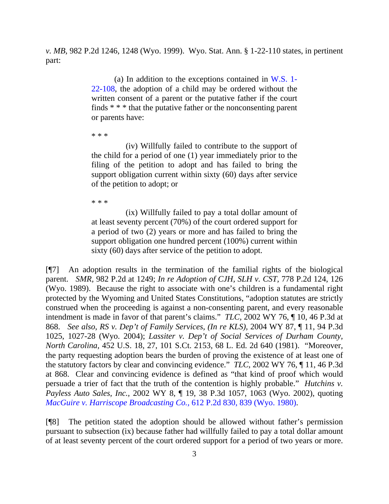*v. MB,* 982 P.2d 1246, 1248 (Wyo. 1999). Wyo. Stat. Ann. § 1-22-110 states, in pertinent part:

> (a) In addition to the exceptions contained in [W.S. 1-](http://www.westlaw.com/Find/Default.wl?rs=dfa1.0&vr=2.0&DB=1000377&DocName=WYSTS1-22-108&FindType=L) [22-108,](http://www.westlaw.com/Find/Default.wl?rs=dfa1.0&vr=2.0&DB=1000377&DocName=WYSTS1-22-108&FindType=L) the adoption of a child may be ordered without the written consent of a parent or the putative father if the court finds \* \* \* that the putative father or the nonconsenting parent or parents have:

\* \* \*

(iv) Willfully failed to contribute to the support of the child for a period of one (1) year immediately prior to the filing of the petition to adopt and has failed to bring the support obligation current within sixty (60) days after service of the petition to adopt; or

\* \* \*

(ix) Willfully failed to pay a total dollar amount of at least seventy percent (70%) of the court ordered support for a period of two (2) years or more and has failed to bring the support obligation one hundred percent (100%) current within sixty (60) days after service of the petition to adopt.

[¶7] An adoption results in the termination of the familial rights of the biological parent. *SMR,* 982 P.2d at 1249; *In re Adoption of CJH, SLH v. CST,* 778 P.2d 124, 126 (Wyo. 1989). Because the right to associate with one's children is a fundamental right protected by the Wyoming and United States Constitutions, "adoption statutes are strictly construed when the proceeding is against a non-consenting parent, and every reasonable intendment is made in favor of that parent's claims." *TLC,* 2002 WY 76, ¶ 10, 46 P.3d at 868. *See also*, *RS v. Dep't of Family Services, (In re KLS),* 2004 WY 87, ¶ 11, 94 P.3d 1025, 1027-28 (Wyo. 2004); *Lassiter v. Dep't of Social Services of Durham County, North Carolina,* 452 U.S. 18, 27, 101 S.Ct. 2153, 68 L. Ed. 2d 640 (1981). "Moreover, the party requesting adoption bears the burden of proving the existence of at least one of the statutory factors by clear and convincing evidence." *TLC,* 2002 WY 76, ¶ 11, 46 P.3d at 868. Clear and convincing evidence is defined as "that kind of proof which would persuade a trier of fact that the truth of the contention is highly probable." *Hutchins v. Payless Auto Sales, Inc.,* 2002 WY 8, ¶ 19, 38 P.3d 1057, 1063 (Wyo. 2002), quoting *[MacGuire v. Harriscope Broadcasting Co.,](http://www.westlaw.com/Find/Default.wl?rs=dfa1.0&vr=2.0&DB=661&FindType=Y&ReferencePositionType=S&SerialNum=1980120924&ReferencePosition=839)* [612 P.2d 830, 839 \(Wyo. 1980\)](http://www.westlaw.com/Find/Default.wl?rs=dfa1.0&vr=2.0&DB=661&FindType=Y&ReferencePositionType=S&SerialNum=1980120924&ReferencePosition=839).

[¶8] The petition stated the adoption should be allowed without father's permission pursuant to subsection (ix) because father had willfully failed to pay a total dollar amount of at least seventy percent of the court ordered support for a period of two years or more.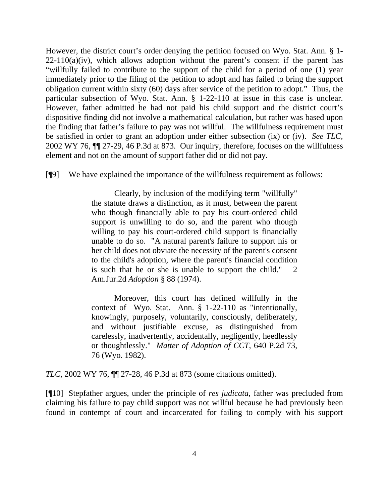However, the district court's order denying the petition focused on Wyo. Stat. Ann. § 1-  $22-110(a)(iv)$ , which allows adoption without the parent's consent if the parent has "willfully failed to contribute to the support of the child for a period of one (1) year immediately prior to the filing of the petition to adopt and has failed to bring the support obligation current within sixty (60) days after service of the petition to adopt." Thus, the particular subsection of Wyo. Stat. Ann. § 1-22-110 at issue in this case is unclear. However, father admitted he had not paid his child support and the district court's dispositive finding did not involve a mathematical calculation, but rather was based upon the finding that father's failure to pay was not willful. The willfulness requirement must be satisfied in order to grant an adoption under either subsection (ix) or (iv). *See TLC,*  2002 WY 76, ¶¶ 27-29, 46 P.3d at 873. Our inquiry, therefore, focuses on the willfulness element and not on the amount of support father did or did not pay.

[¶9] We have explained the importance of the willfulness requirement as follows:

Clearly, by inclusion of the modifying term "willfully" the statute draws a distinction, as it must, between the parent who though financially able to pay his court-ordered child support is unwilling to do so, and the parent who though willing to pay his court-ordered child support is financially unable to do so. "A natural parent's failure to support his or her child does not obviate the necessity of the parent's consent to the child's adoption, where the parent's financial condition is such that he or she is unable to support the child." 2 Am.Jur.2d *Adoption* § 88 (1974).

Moreover, this court has defined willfully in the context of Wyo. Stat. Ann. § 1-22-110 as "intentionally, knowingly, purposely, voluntarily, consciously, deliberately, and without justifiable excuse, as distinguished from carelessly, inadvertently, accidentally, negligently, heedlessly or thoughtlessly." *Matter of Adoption of CCT*, 640 P.2d 73, 76 (Wyo. 1982).

*TLC,* 2002 WY 76, ¶¶ 27-28, 46 P.3d at 873 (some citations omitted).

[¶10] Stepfather argues, under the principle of *res judicata*, father was precluded from claiming his failure to pay child support was not willful because he had previously been found in contempt of court and incarcerated for failing to comply with his support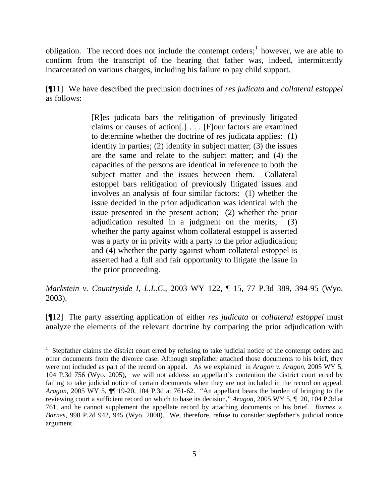obligation. The record does not include the contempt orders;<sup>[1](#page-6-0)</sup> however, we are able to confirm from the transcript of the hearing that father was, indeed, intermittently incarcerated on various charges, including his failure to pay child support.

[¶11] We have described the preclusion doctrines of *res judicata* and *collateral estoppel* as follows:

> [R]es judicata bars the relitigation of previously litigated claims or causes of action[.] . . . [F]our factors are examined to determine whether the doctrine of res judicata applies: (1) identity in parties; (2) identity in subject matter; (3) the issues are the same and relate to the subject matter; and (4) the capacities of the persons are identical in reference to both the subject matter and the issues between them. Collateral estoppel bars relitigation of previously litigated issues and involves an analysis of four similar factors: (1) whether the issue decided in the prior adjudication was identical with the issue presented in the present action; (2) whether the prior adjudication resulted in a judgment on the merits; (3) whether the party against whom collateral estoppel is asserted was a party or in privity with a party to the prior adjudication; and (4) whether the party against whom collateral estoppel is asserted had a full and fair opportunity to litigate the issue in the prior proceeding.

*Markstein v. Countryside I, L.L.C*., 2003 WY 122, ¶ 15, 77 P.3d 389, 394-95 (Wyo. 2003).

[¶12] The party asserting application of either *res judicata* or *collateral estoppel* must analyze the elements of the relevant doctrine by comparing the prior adjudication with

<span id="page-6-0"></span><sup>&</sup>lt;sup>1</sup> Stepfather claims the district court erred by refusing to take judicial notice of the contempt orders and other documents from the divorce case. Although stepfather attached those documents to his brief, they were not included as part of the record on appeal. As we explained in *Aragon v. Aragon,* 2005 WY 5, 104 P.3d 756 (Wyo. 2005), we will not address an appellant's contention the district court erred by failing to take judicial notice of certain documents when they are not included in the record on appeal. *Aragon,* 2005 WY 5, ¶¶ 19-20, 104 P.3d at 761-62. "An appellant bears the burden of bringing to the reviewing court a sufficient record on which to base its decision," *Aragon,* 2005 WY 5, ¶ 20, 104 P.3d at 761, and he cannot supplement the appellate record by attaching documents to his brief. *Barnes v. Barnes,* 998 P.2d 942, 945 (Wyo. 2000). We, therefore, refuse to consider stepfather's judicial notice argument.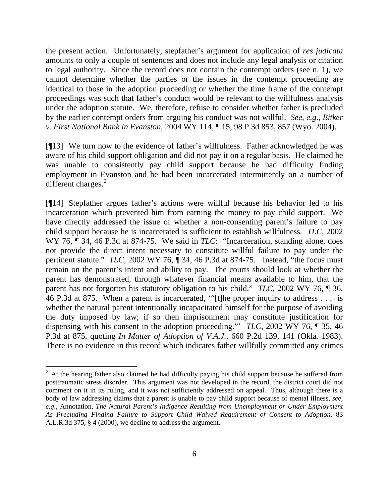the present action. Unfortunately, stepfather's argument for application of *res judicata*  amounts to only a couple of sentences and does not include any legal analysis or citation to legal authority. Since the record does not contain the contempt orders (see n. 1), we cannot determine whether the parties or the issues in the contempt proceeding are identical to those in the adoption proceeding or whether the time frame of the contempt proceedings was such that father's conduct would be relevant to the willfulness analysis under the adoption statute. We, therefore, refuse to consider whether father is precluded by the earlier contempt orders from arguing his conduct was not willful. *See, e.g*., *Bitker v. First National Bank in Evanston,* 2004 WY 114, ¶ 15, 98 P.3d 853, 857 (Wyo. 2004).

[¶13] We turn now to the evidence of father's willfulness. Father acknowledged he was aware of his child support obligation and did not pay it on a regular basis. He claimed he was unable to consistently pay child support because he had difficulty finding employment in Evanston and he had been incarcerated intermittently on a number of different charges. $2$ 

[¶14] Stepfather argues father's actions were willful because his behavior led to his incarceration which prevented him from earning the money to pay child support. We have directly addressed the issue of whether a non-consenting parent's failure to pay child support because he is incarcerated is sufficient to establish willfulness. *TLC,* 2002 WY 76,  $\parallel$  34, 46 P.3d at 874-75. We said in *TLC*: "Incarceration, standing alone, does not provide the direct intent necessary to constitute willful failure to pay under the pertinent statute." *TLC*, 2002 WY 76,  $\P$  34, 46 P.3d at 874-75. Instead, "the focus must remain on the parent's intent and ability to pay. The courts should look at whether the parent has demonstrated, through whatever financial means available to him, that the parent has not forgotten his statutory obligation to his child." *TLC,* 2002 WY 76, ¶ 36, 46 P.3d at 875. When a parent is incarcerated, '"[t]he proper inquiry to address . . . is whether the natural parent intentionally incapacitated himself for the purpose of avoiding the duty imposed by law; if so then imprisonment may constitute justification for dispensing with his consent in the adoption proceeding."' *TLC,* 2002 WY 76, ¶ 35, 46 P.3d at 875, quoting *In Matter of Adoption of V.A.J.,* 660 P.2d 139, 141 (Okla. 1983). There is no evidence in this record which indicates father willfully committed any crimes

<span id="page-7-0"></span> $2<sup>2</sup>$  At the hearing father also claimed he had difficulty paying his child support because he suffered from posttraumatic stress disorder. This argument was not developed in the record, the district court did not comment on it in its ruling, and it was not sufficiently addressed on appeal. Thus, although there is a body of law addressing claims that a parent is unable to pay child support because of mental illness, *see, e.g*., Annotation, *The Natural Parent's Indigence Resulting from Unemployment or Under Employment As Precluding Finding Failure to Support Child Waived Requirement of Consent to Adoption*, 83 A.L.R.3d 375, § 4 (2000), we decline to address the argument.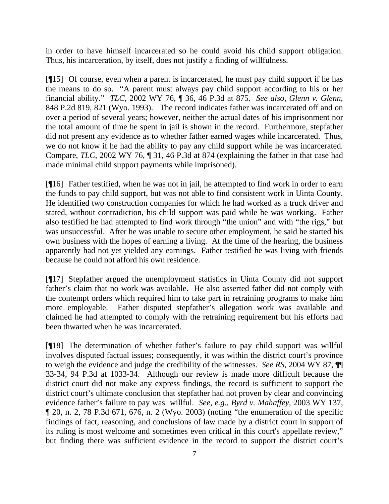in order to have himself incarcerated so he could avoid his child support obligation. Thus, his incarceration, by itself, does not justify a finding of willfulness.

[¶15] Of course, even when a parent is incarcerated, he must pay child support if he has the means to do so. "A parent must always pay child support according to his or her financial ability." *TLC,* 2002 WY 76, ¶ 36, 46 P.3d at 875. *See also*, *Glenn v. Glenn*, 848 P.2d 819, 821 (Wyo. 1993). The record indicates father was incarcerated off and on over a period of several years; however, neither the actual dates of his imprisonment nor the total amount of time he spent in jail is shown in the record. Furthermore, stepfather did not present any evidence as to whether father earned wages while incarcerated. Thus, we do not know if he had the ability to pay any child support while he was incarcerated. Compare, *TLC,* 2002 WY 76, ¶ 31, 46 P.3d at 874 (explaining the father in that case had made minimal child support payments while imprisoned).

[¶16] Father testified, when he was not in jail, he attempted to find work in order to earn the funds to pay child support, but was not able to find consistent work in Uinta County. He identified two construction companies for which he had worked as a truck driver and stated, without contradiction, his child support was paid while he was working. Father also testified he had attempted to find work through "the union" and with "the rigs," but was unsuccessful. After he was unable to secure other employment, he said he started his own business with the hopes of earning a living. At the time of the hearing, the business apparently had not yet yielded any earnings. Father testified he was living with friends because he could not afford his own residence.

[¶17] Stepfather argued the unemployment statistics in Uinta County did not support father's claim that no work was available. He also asserted father did not comply with the contempt orders which required him to take part in retraining programs to make him more employable. Father disputed stepfather's allegation work was available and claimed he had attempted to comply with the retraining requirement but his efforts had been thwarted when he was incarcerated.

[¶18] The determination of whether father's failure to pay child support was willful involves disputed factual issues; consequently, it was within the district court's province to weigh the evidence and judge the credibility of the witnesses. *See RS,* 2004 WY 87, ¶¶ 33-34, 94 P.3d at 1033-34. Although our review is made more difficult because the district court did not make any express findings, the record is sufficient to support the district court's ultimate conclusion that stepfather had not proven by clear and convincing evidence father's failure to pay was willful. *See, e.g*., *Byrd v. Mahaffey,* 2003 WY 137,  $\P$  20, n. 2, 78 P.3d 671, 676, n. 2 (Wyo. 2003) (noting "the enumeration of the specific findings of fact, reasoning, and conclusions of law made by a district court in support of its ruling is most welcome and sometimes even critical in this court's appellate review," but finding there was sufficient evidence in the record to support the district court's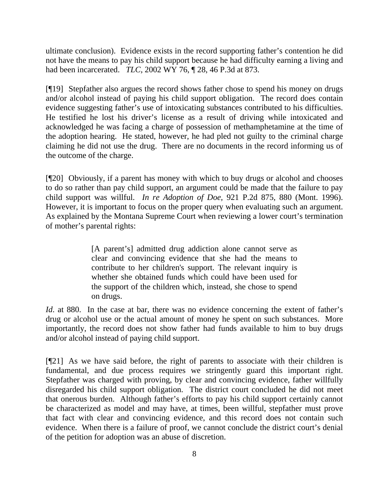ultimate conclusion). Evidence exists in the record supporting father's contention he did not have the means to pay his child support because he had difficulty earning a living and had been incarcerated. *TLC,* 2002 WY 76, ¶ 28, 46 P.3d at 873.

[¶19] Stepfather also argues the record shows father chose to spend his money on drugs and/or alcohol instead of paying his child support obligation. The record does contain evidence suggesting father's use of intoxicating substances contributed to his difficulties. He testified he lost his driver's license as a result of driving while intoxicated and acknowledged he was facing a charge of possession of methamphetamine at the time of the adoption hearing. He stated, however, he had pled not guilty to the criminal charge claiming he did not use the drug. There are no documents in the record informing us of the outcome of the charge.

[¶20] Obviously, if a parent has money with which to buy drugs or alcohol and chooses to do so rather than pay child support, an argument could be made that the failure to pay child support was willful. *In re Adoption of Doe,* 921 P.2d 875, 880 (Mont. 1996). However, it is important to focus on the proper query when evaluating such an argument. As explained by the Montana Supreme Court when reviewing a lower court's termination of mother's parental rights:

> [A parent's] admitted drug addiction alone cannot serve as clear and convincing evidence that she had the means to contribute to her children's support. The relevant inquiry is whether she obtained funds which could have been used for the support of the children which, instead, she chose to spend on drugs.

*Id*. at 880. In the case at bar, there was no evidence concerning the extent of father's drug or alcohol use or the actual amount of money he spent on such substances. More importantly, the record does not show father had funds available to him to buy drugs and/or alcohol instead of paying child support.

[¶21] As we have said before, the right of parents to associate with their children is fundamental, and due process requires we stringently guard this important right. Stepfather was charged with proving, by clear and convincing evidence, father willfully disregarded his child support obligation. The district court concluded he did not meet that onerous burden. Although father's efforts to pay his child support certainly cannot be characterized as model and may have, at times, been willful, stepfather must prove that fact with clear and convincing evidence, and this record does not contain such evidence. When there is a failure of proof, we cannot conclude the district court's denial of the petition for adoption was an abuse of discretion.